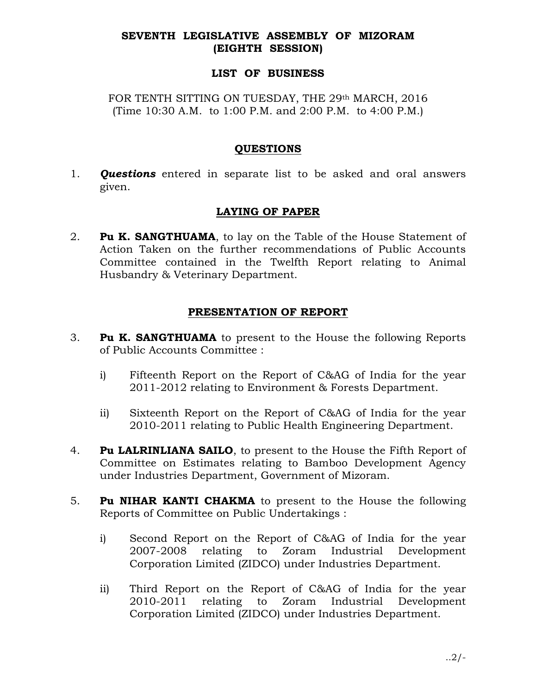### SEVENTH LEGISLATIVE ASSEMBLY OF MIZORAM (EIGHTH SESSION)

### LIST OF BUSINESS

FOR TENTH SITTING ON TUESDAY, THE 29th MARCH, 2016 (Time 10:30 A.M. to 1:00 P.M. and 2:00 P.M. to 4:00 P.M.)

### QUESTIONS

1. **Questions** entered in separate list to be asked and oral answers given.

# LAYING OF PAPER

2. **Pu K. SANGTHUAMA**, to lay on the Table of the House Statement of Action Taken on the further recommendations of Public Accounts Committee contained in the Twelfth Report relating to Animal Husbandry & Veterinary Department.

## PRESENTATION OF REPORT

- 3. Pu K. SANGTHUAMA to present to the House the following Reports of Public Accounts Committee :
	- i) Fifteenth Report on the Report of C&AG of India for the year 2011-2012 relating to Environment & Forests Department.
	- ii) Sixteenth Report on the Report of C&AG of India for the year 2010-2011 relating to Public Health Engineering Department.
- 4. Pu LALRINLIANA SAILO, to present to the House the Fifth Report of Committee on Estimates relating to Bamboo Development Agency under Industries Department, Government of Mizoram.
- 5. Pu NIHAR KANTI CHAKMA to present to the House the following Reports of Committee on Public Undertakings :
	- i) Second Report on the Report of C&AG of India for the year 2007-2008 relating to Zoram Industrial Development Corporation Limited (ZIDCO) under Industries Department.
	- ii) Third Report on the Report of C&AG of India for the year 2010-2011 relating to Zoram Industrial Development Corporation Limited (ZIDCO) under Industries Department.